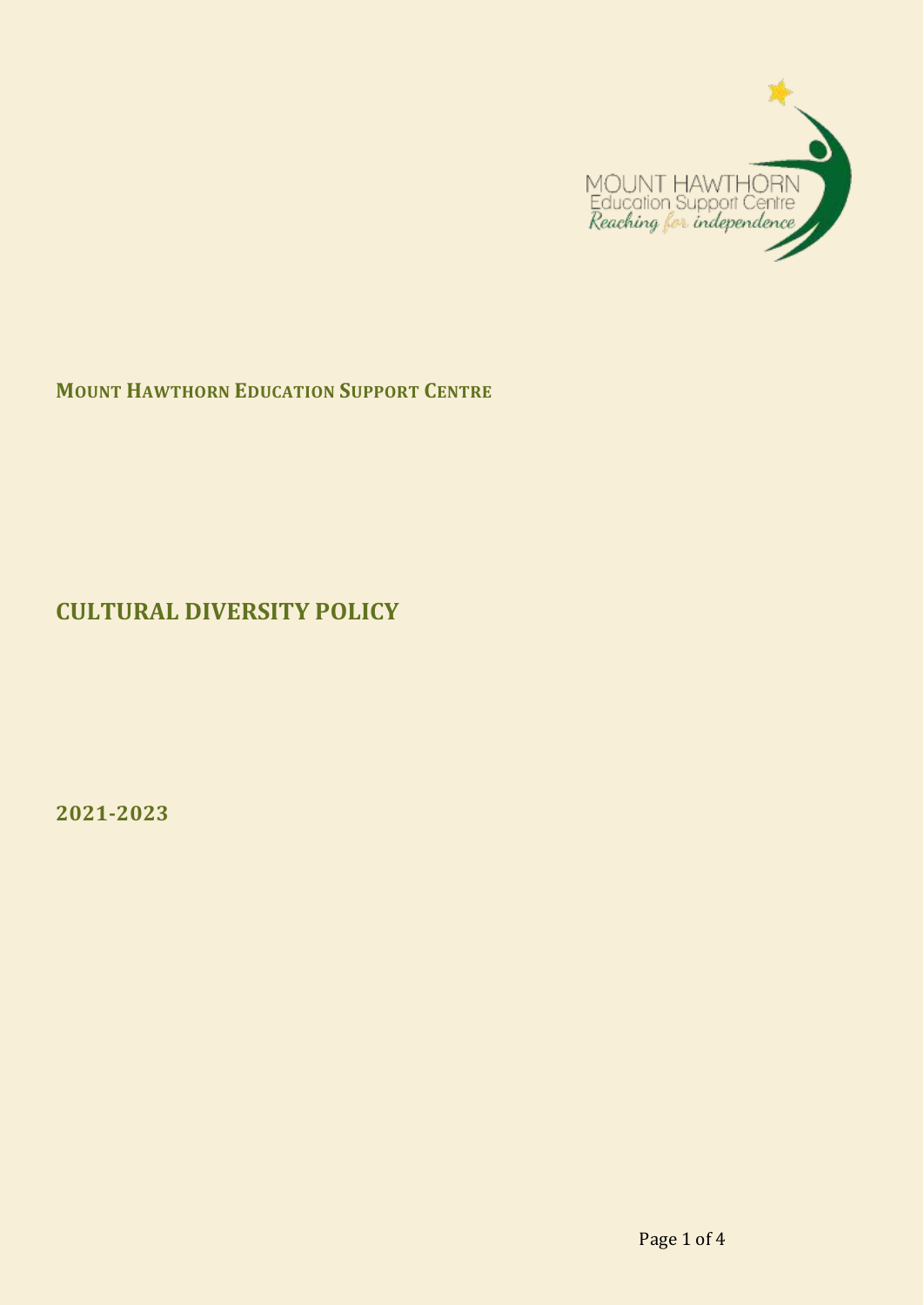

**MOUNT HAWTHORN EDUCATION SUPPORT CENTRE**

**CULTURAL DIVERSITY POLICY**

**2021-2023**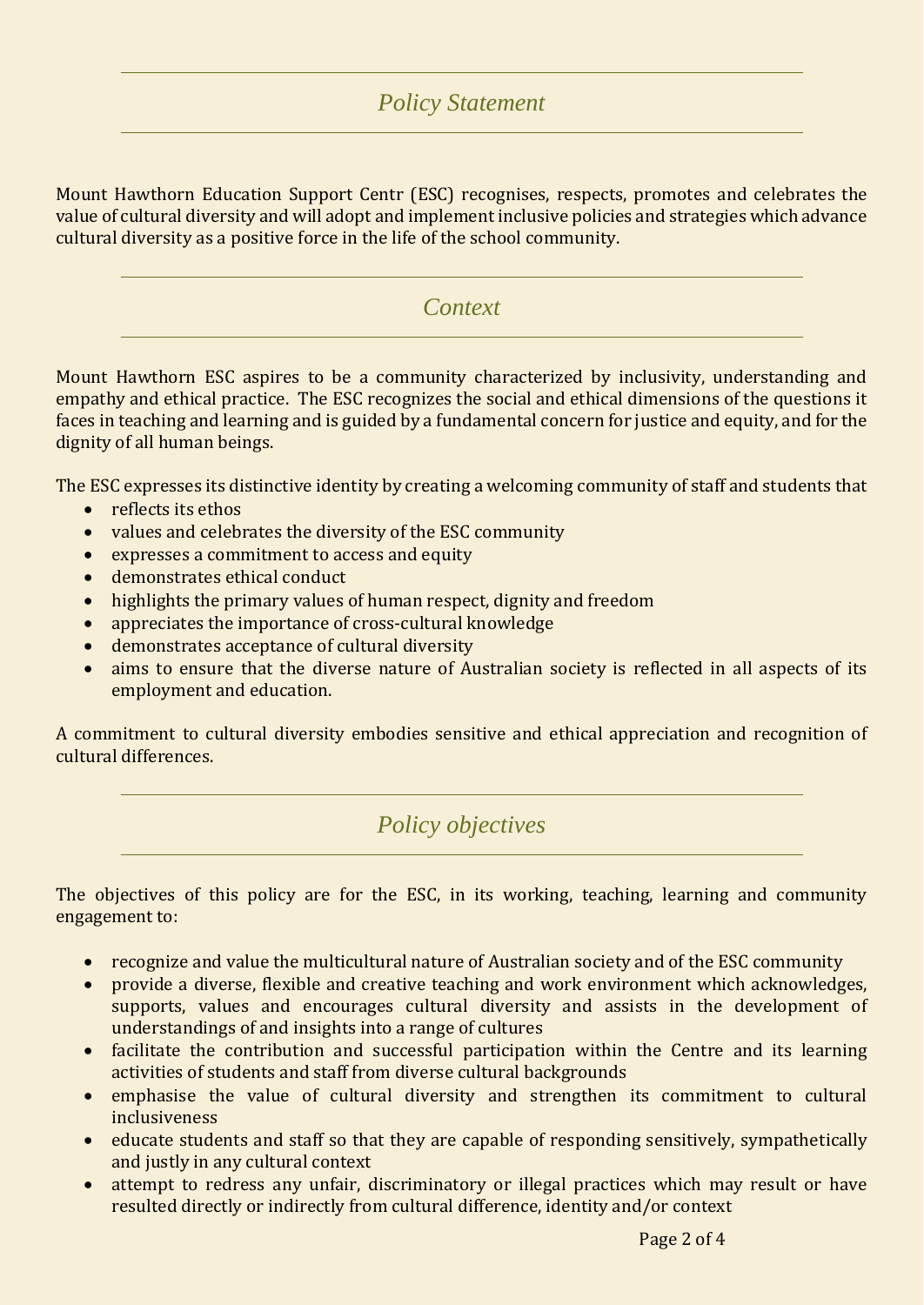## *Policy Statement*

Mount Hawthorn Education Support Centr (ESC) recognises, respects, promotes and celebrates the value of cultural diversity and will adopt and implement inclusive policies and strategies which advance cultural diversity as a positive force in the life of the school community.

#### *Context*

Mount Hawthorn ESC aspires to be a community characterized by inclusivity, understanding and empathy and ethical practice. The ESC recognizes the social and ethical dimensions of the questions it faces in teaching and learning and is guided by a fundamental concern for justice and equity, and for the dignity of all human beings.

The ESC expresses its distinctive identity by creating a welcoming community of staff and students that

- reflects its ethos
- values and celebrates the diversity of the ESC community
- expresses a commitment to access and equity
- demonstrates ethical conduct
- highlights the primary values of human respect, dignity and freedom
- appreciates the importance of cross-cultural knowledge
- demonstrates acceptance of cultural diversity
- aims to ensure that the diverse nature of Australian society is reflected in all aspects of its employment and education.

A commitment to cultural diversity embodies sensitive and ethical appreciation and recognition of cultural differences.

*Policy objectives*

The objectives of this policy are for the ESC, in its working, teaching, learning and community engagement to:

- recognize and value the multicultural nature of Australian society and of the ESC community
- provide a diverse, flexible and creative teaching and work environment which acknowledges, supports, values and encourages cultural diversity and assists in the development of understandings of and insights into a range of cultures
- facilitate the contribution and successful participation within the Centre and its learning activities of students and staff from diverse cultural backgrounds
- emphasise the value of cultural diversity and strengthen its commitment to cultural inclusiveness
- educate students and staff so that they are capable of responding sensitively, sympathetically and justly in any cultural context
- attempt to redress any unfair, discriminatory or illegal practices which may result or have resulted directly or indirectly from cultural difference, identity and/or context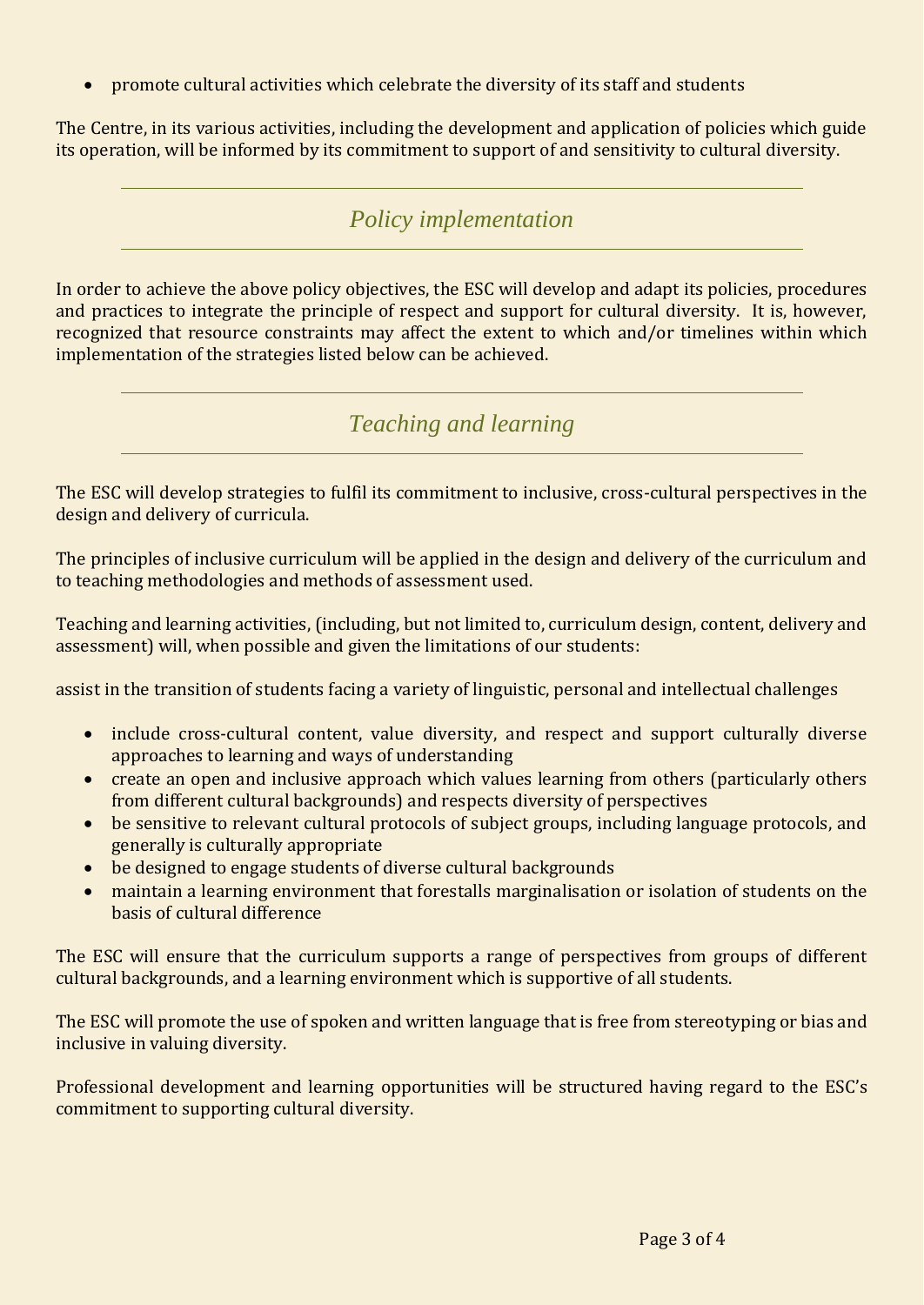promote cultural activities which celebrate the diversity of its staff and students

The Centre, in its various activities, including the development and application of policies which guide its operation, will be informed by its commitment to support of and sensitivity to cultural diversity.

## *Policy implementation*

In order to achieve the above policy objectives, the ESC will develop and adapt its policies, procedures and practices to integrate the principle of respect and support for cultural diversity. It is, however, recognized that resource constraints may affect the extent to which and/or timelines within which implementation of the strategies listed below can be achieved.

*Teaching and learning*

The ESC will develop strategies to fulfil its commitment to inclusive, cross-cultural perspectives in the design and delivery of curricula.

The principles of inclusive curriculum will be applied in the design and delivery of the curriculum and to teaching methodologies and methods of assessment used.

Teaching and learning activities, (including, but not limited to, curriculum design, content, delivery and assessment) will, when possible and given the limitations of our students:

assist in the transition of students facing a variety of linguistic, personal and intellectual challenges

- include cross-cultural content, value diversity, and respect and support culturally diverse approaches to learning and ways of understanding
- create an open and inclusive approach which values learning from others (particularly others from different cultural backgrounds) and respects diversity of perspectives
- be sensitive to relevant cultural protocols of subject groups, including language protocols, and generally is culturally appropriate
- be designed to engage students of diverse cultural backgrounds
- maintain a learning environment that forestalls marginalisation or isolation of students on the basis of cultural difference

The ESC will ensure that the curriculum supports a range of perspectives from groups of different cultural backgrounds, and a learning environment which is supportive of all students.

The ESC will promote the use of spoken and written language that is free from stereotyping or bias and inclusive in valuing diversity.

Professional development and learning opportunities will be structured having regard to the ESC's commitment to supporting cultural diversity.